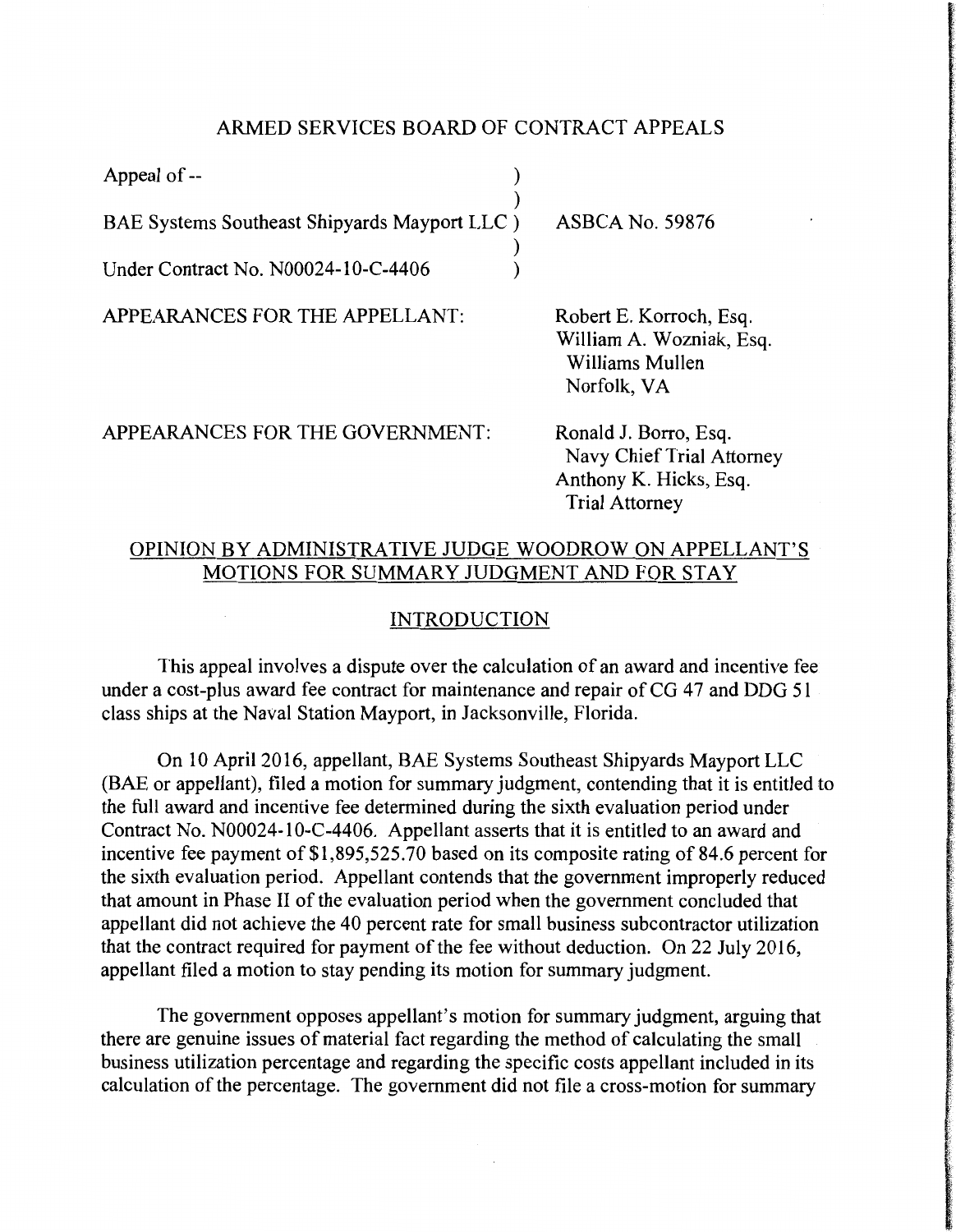### ARMED SERVICES BOARD OF CONTRACT APPEALS

| Appeal of --                                 |                        |
|----------------------------------------------|------------------------|
|                                              |                        |
| BAE Systems Southeast Shipyards Mayport LLC) | <b>ASBCA No. 59876</b> |
| Under Contract No. N00024-10-C-4406          |                        |

APPEARANCES FOR THE APPELLANT:

Robert E. Korroch, Esq. William A. Wozniak, Esq. Williams Mullen Norfolk, VA

APPEARANCES FOR THE GOVERNMENT:

Ronald J. Borro, Esq. Navy Chief Trial Attorney Anthony K. Hicks, Esq. Trial Attorney

# OPINION BY ADMINISTRATIVE JUDGE WOODROW ON APPELLANT'S MOTIONS FOR SUMMARY JUDGMENT AND FOR STAY

## INTRODUCTION

This appeal involves a dispute over the calculation of an award and incentive fee under a cost-plus award fee contract for maintenance and repair of CG 47 and DDG 51 class ships at the Naval Station Mayport, in Jacksonville, Florida.

On 10 April 2016, appellant, BAE Systems Southeast Shipyards Mayport LLC (BAE or appellant), filed a motion for summary judgment, contending that it is entitled to the full award and incentive fee determined during the sixth evaluation period under Contract No. N00024-10-C-4406. Appellant asserts that it is entitled to an award and incentive fee payment of \$1,895,525.70 based on its composite rating of 84.6 percent for the sixth evaluation period. Appellant contends that the government improperly reduced that amount in Phase II of the evaluation period when the government concluded that appellant did not achieve the 40 percent rate for small business subcontractor utilization that the contract required for payment of the fee without deduction. On 22 July 2016, appellant filed a motion to stay pending its motion for summary judgment.

The government opposes appellant's motion for summary judgment, arguing that there are genuine issues of material fact regarding the method of calculating the small business utilization percentage and regarding the specific costs appellant included in its calculation of the percentage. The government did not file a cross-motion for summary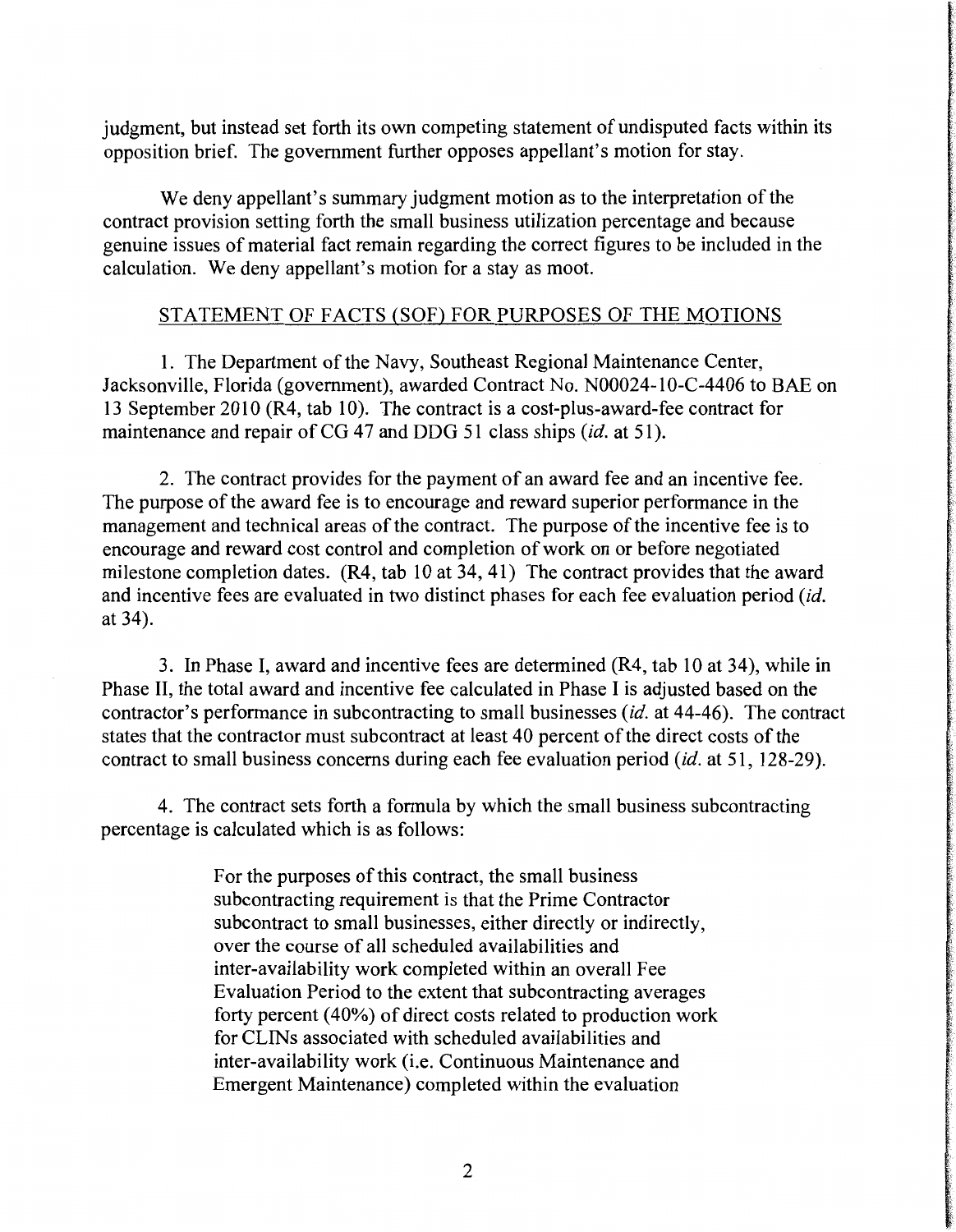judgment, but instead set forth its own competing statement of undisputed facts within its opposition brief. The government further opposes appellant's motion for stay.

We deny appellant's summary judgment motion as to the interpretation of the contract provision setting forth the small business utilization percentage and because genuine issues of material fact remain regarding the correct figures to be included in the calculation. We deny appellant's motion for a stay as moot.

### STATEMENT OF FACTS (SOF) FOR PURPOSES OF THE MOTIONS

1. The Department of the Navy, Southeast Regional Maintenance Center, Jacksonville, Florida (government), awarded Contract No. N00024-10-C-4406 to BAE on 13 September 2010 (R4, tab 10). The contract is a cost-plus-award-fee contract for maintenance and repair of CG 47 and DDG 51 class ships *(id. at 51)*.

2. The contract provides for the payment of an award fee and an incentive fee. The purpose of the award fee is to encourage and reward superior performance in the management and technical areas of the contract. The purpose of the incentive fee is to encourage and reward cost control and completion of work on or before negotiated milestone completion dates. (R4, tab 10 at 34, 41) The contract provides that the award and incentive fees are evaluated in two distinct phases for each fee evaluation period *(id.*  at 34).

3. In Phase I, award and incentive fees are determined (R4, tab 10 at 34), while in Phase II, the total award and incentive fee calculated in Phase I is adjusted based on the contractor's performance in subcontracting to small businesses *(id.* at 44-46). The contract states that the contractor must subcontract at least 40 percent of the direct costs of the contract to small business concerns during each fee evaluation period *(id.* at 51, 128-29).

4. The contract sets forth a formula by which the small business subcontracting percentage is calculated which is as follows:

> For the purposes of this contract, the small business subcontracting requirement is that the Prime Contractor subcontract to small businesses, either directly or indirectly, over the course of all scheduled availabilities and inter-availability work completed within an overall Fee Evaluation Period to the extent that subcontracting averages forty percent (40%) of direct costs related to production work for CLINs associated with scheduled availabilities and inter-availability work (i.e. Continuous Maintenance and Emergent Maintenance) completed within the evaluation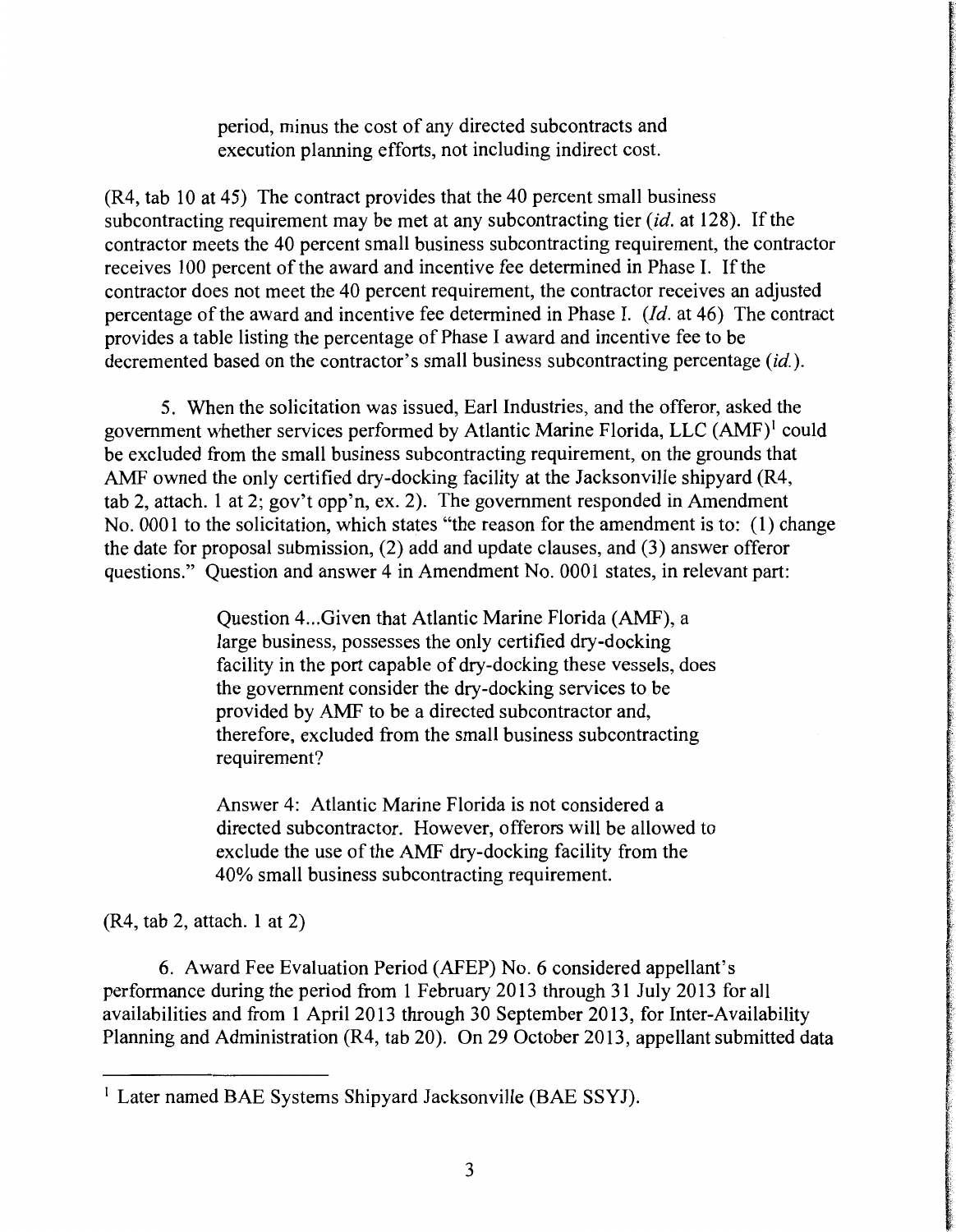period, minus the cost of any directed subcontracts and execution planning efforts, not including indirect cost.

(R4, tab 10 at 45) The contract provides that the 40 percent small business subcontracting requirement may be met at any subcontracting tier *(id.* at 128). If the contractor meets the 40 percent small business subcontracting requirement, the contractor receives 100 percent of the award and incentive fee determined in Phase I. If the contractor does not meet the 40 percent requirement, the contractor receives an adjusted percentage of the award and incentive fee determined in Phase I. *(Id.* at 46) The contract provides a table listing the percentage of Phase I award and incentive fee to be decremented based on the contractor's small business subcontracting percentage (id.).

5. When the solicitation was issued, Earl Industries, and the offeror, asked the government whether services performed by Atlantic Marine Florida, LLC (AMF)<sup>1</sup> could be excluded from the small business subcontracting requirement, on the grounds that AMF owned the only certified dry-docking facility at the Jacksonville shipyard (R4, tab 2, attach. 1 at 2; gov't opp'n, ex. 2). The government responded in Amendment No. 0001 to the solicitation, which states '"the reason for the amendment is to: (1) change the date for proposal submission, (2) add and update clauses, and (3) answer offeror questions." Question and answer 4 in Amendment No. 0001 states, in relevant part:

> Question 4 ... Given that Atlantic Marine Florida (AMF), a large business, possesses the only certified dry-docking facility in the port capable of dry-docking these vessels, does the government consider the dry-docking services to be provided by AMF to be a directed subcontractor and, therefore, excluded from the small business subcontracting requirement?

> Answer 4: Atlantic Marine Florida is not considered a directed subcontractor. However, offerors will be allowed to exclude the use of the AMF dry-docking facility from the 40% small business subcontracting requirement.

(R4, tab 2, attach. 1 at 2)

6. Award Fee Evaluation Period (AFEP) No. 6 considered appellant's performance during the period from 1 February 2013 through 31 July 2013 for all availabilities and from 1 April 2013 through 30 September 2013, for Inter-Availability Planning and Administration (R4, tab 20). On 29 October 2013, appellant submitted data

<sup>&</sup>lt;sup>1</sup> Later named BAE Systems Shipyard Jacksonville (BAE SSYJ).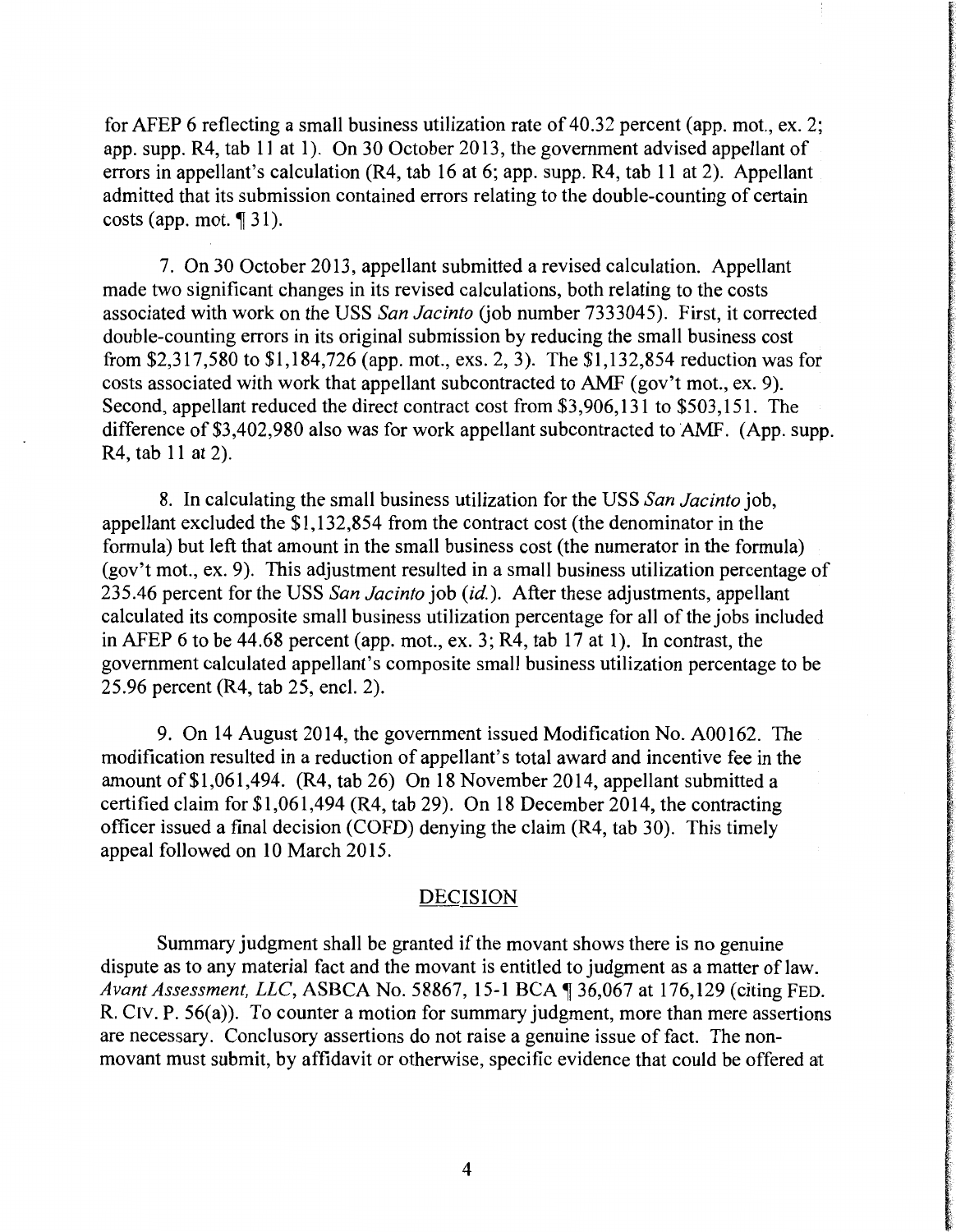for AFEP 6 reflecting a small business utilization rate of 40.32 percent (app. mot., ex. 2; app. supp. R4, tab 11 at 1). On 30 October 2013, the government advised appellant of errors in appellant's calculation (R4, tab 16 at 6; app. supp. R4, tab 11 at 2). Appellant admitted that its submission contained errors relating to the double-counting of certain costs (app. mot.  $\P$  31).

7. On 30 October 2013, appellant submitted a revised calculation. Appellant made two significant changes in its revised calculations, both relating to the costs associated with work on the USS San Jacinto (job number 7333045). First, it corrected double-counting errors in its original submission by reducing the small business cost from \$2,317,580 to \$1,184,726 (app. mot., exs. 2, 3). The \$1,132,854 reduction was for costs associated with work that appellant subcontracted to AMF (gov't mot., ex. 9). Second, appellant reduced the direct contract cost from \$3,906,131 to \$503, 151. The difference of \$3,402,980 also was for work appellant subcontracted to AMF. (App. supp. R4, tab 11 at 2).

8. In calculating the small business utilization for the USS *San Jacinto* job, appellant excluded the \$1,132,854 from the contract cost (the denominator in the formula) but left that amount in the small business cost (the numerator in the formula) (gov't mot., ex. 9). This adjustment resulted in a small business utilization percentage of 235.46 percent for the USS *San Jacinto* job *(id.).* After these adjustments, appellant calculated its composite small business utilization percentage for all of the jobs included in AFEP 6 to be 44.68 percent (app. mot., ex. 3; R4, tab 17 at 1). In contrast, the government calculated appellant's composite small business utilization percentage to be 25.96 percent (R4, tab 25, encl. 2).

9. On 14 August 2014, the government issued Modification No. A00162. The modification resulted in a reduction of appellant's total award and incentive fee in the amount of\$1,061,494. (R4, tab 26) On 18 November 2014, appellant submitted a certified claim for \$1,061,494 (R4, tab 29). On 18 December 2014, the contracting officer issued a final decision (COFD) denying the claim (R4, tab 30). This timely appeal followed on 10 March 2015.

#### DECISION

Summary judgment shall be granted if the movant shows there is no genuine dispute as to any material fact and the movant is entitled to judgment as a matter of law. *Avant Assessment, LLC, ASBCA No.* 58867, 15-1 BCA 136,067 at 176,129 (citing FED. R. CIV. P. 56(a)). To counter a motion for summary judgment, more than mere assertions are necessary. Conclusory assertions do not raise a genuine issue of fact. The nonmovant must submit, by affidavit or otherwise, specific evidence that could be offered at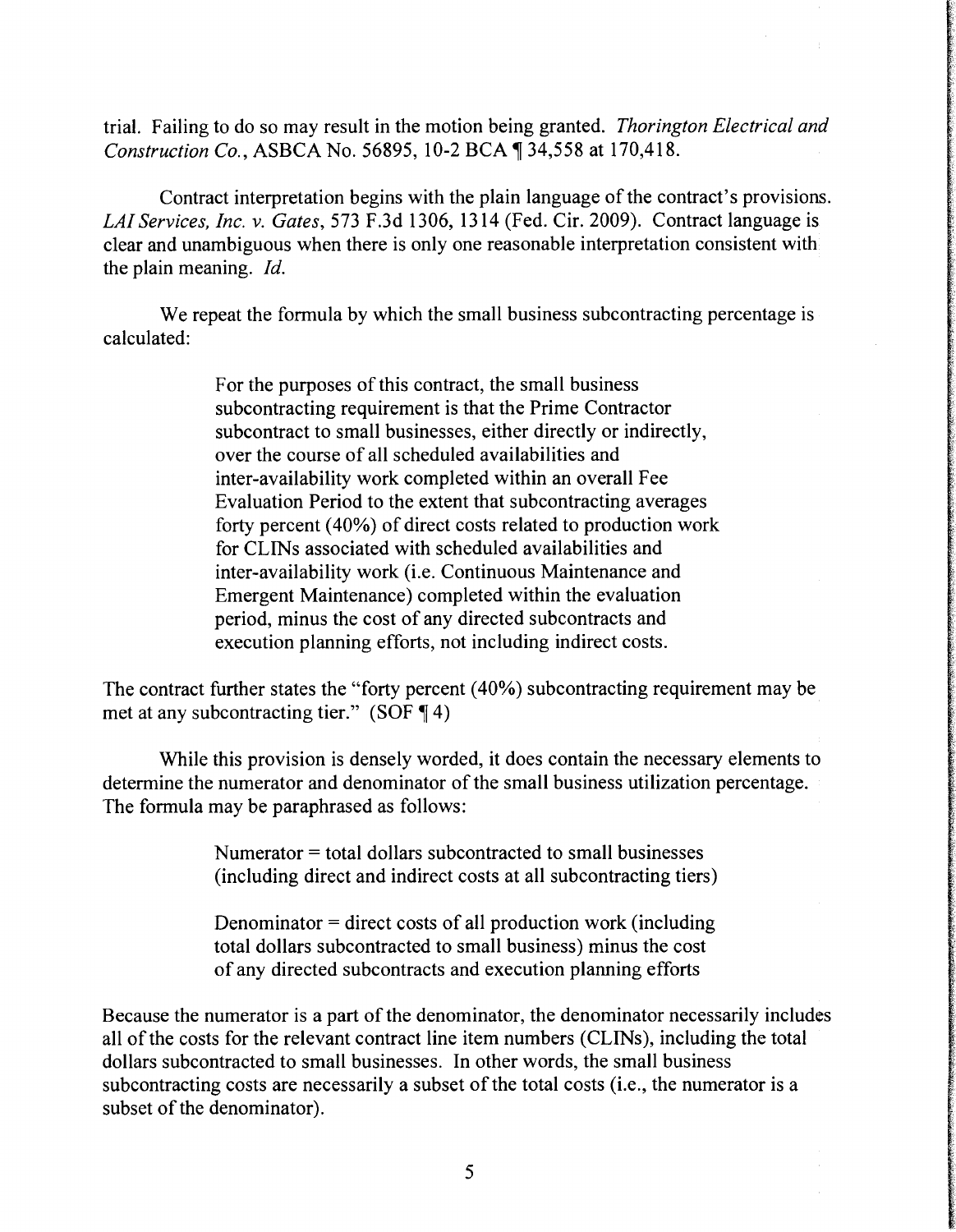trial. Failing to do so may result in the motion being granted. *Thorington Electrical and Construction Co., ASBCA No. 56895, 10-2 BCA*  $\sqrt{$  34,558 at 170,418.

Contract interpretation begins with the plain language of the contract's provisions. *LAI Services, Inc. v. Gates,* 573 F.3d 1306, 1314 (Fed. Cir. 2009). Contract language is clear and unambiguous when there is only one reasonable interpretation consistent with the plain meaning. *Id.* 

We repeat the formula by which the small business subcontracting percentage is calculated:

> For the purposes of this contract, the small business subcontracting requirement is that the Prime Contractor subcontract to small businesses, either directly or indirectly, over the course of all scheduled availabilities and inter-availability work completed within an overall Fee Evaluation Period to the extent that subcontracting averages forty percent (40%) of direct costs related to production work for CLINs associated with scheduled availabilities and inter-availability work (i.e. Continuous Maintenance and Emergent Maintenance) completed within the evaluation period, minus the cost of any directed subcontracts and execution planning efforts, not including indirect costs.

The contract further states the "forty percent (40%) subcontracting requirement may be met at any subcontracting tier." (SOF  $\P$  4)

While this provision is densely worded, it does contain the necessary elements to determine the numerator and denominator of the small business utilization percentage. The formula may be paraphrased as follows:

> Numerator = total dollars subcontracted to small businesses (including direct and indirect costs at all subcontracting tiers)

> Denominator = direct costs of all production work (including total dollars subcontracted to small business) minus the cost of any directed subcontracts and execution planning efforts

Because the numerator is a part of the denominator, the denominator necessarily includes all of the costs for the relevant contract line item numbers (CLINs), including the total dollars subcontracted to small businesses. In other words, the small business subcontracting costs are necessarily a subset of the total costs (i.e., the numerator is a subset of the denominator).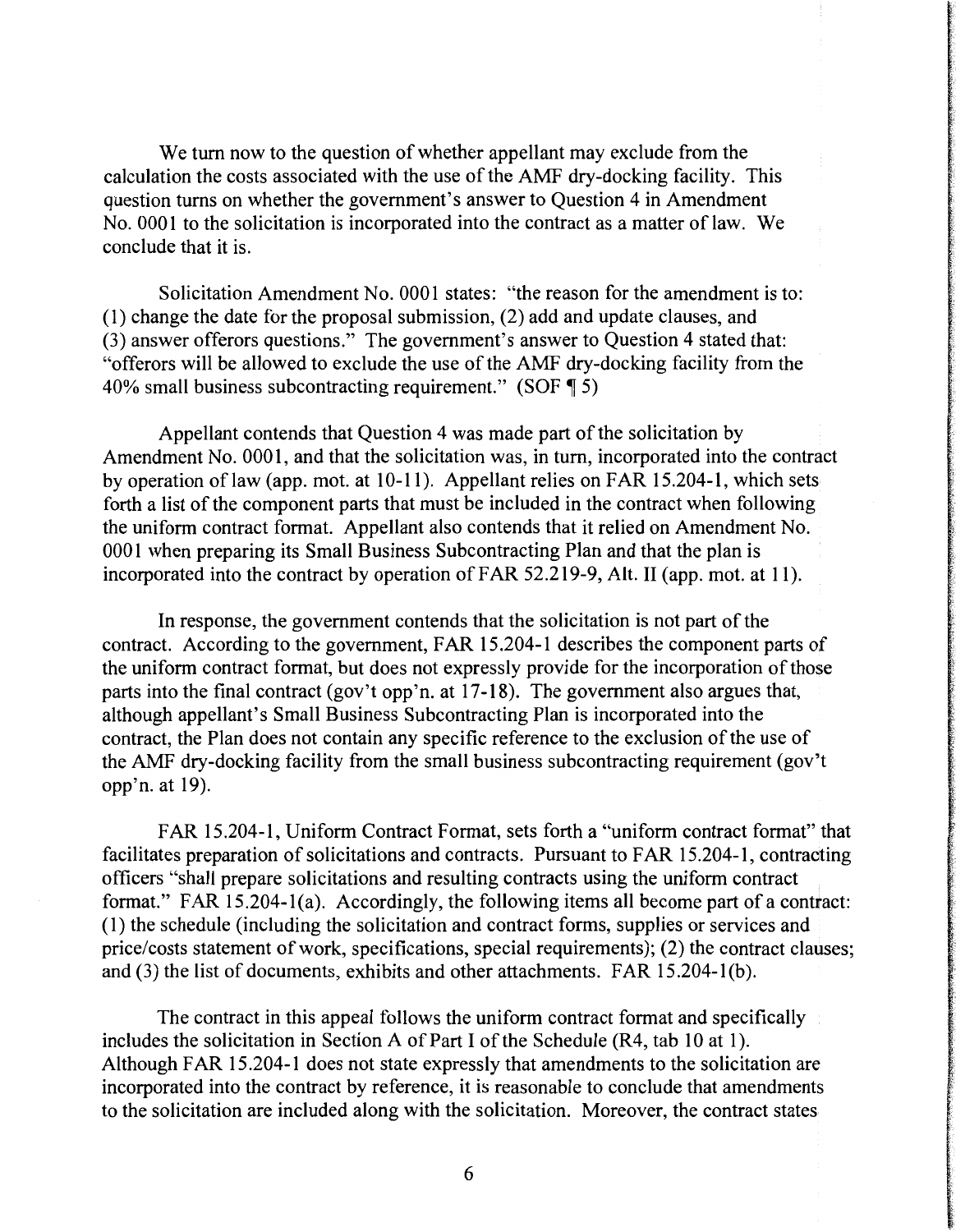We tum now to the question of whether appellant may exclude from the calculation the costs associated with the use of the AMF dry-docking facility. This question turns on whether the government's answer to Question 4 in Amendment No. 0001 to the solicitation is incorporated into the contract as a matter of law. We conclude that it is.

Solicitation Amendment No. 0001 states: "the reason for the amendment is to: ( 1) change the date for the proposal submission, (2) add and update clauses, and (3) answer offerors questions." The government's answer to Question 4 stated that: "offerors will be allowed to exclude the use of the AMF dry-docking facility from the 40% small business subcontracting requirement." (SOF  $\parallel$  5)

Appellant contends that Question 4 was made part of the solicitation by Amendment No. 0001, and that the solicitation was, in tum, incorporated into the contract by operation oflaw (app. mot. at 10-11). Appellant relies on FAR 15.204-1, which sets forth a list of the component parts that must be included in the contract when following the uniform contract format. Appellant also contends that it relied on Amendment No. 0001 when preparing its Small Business Subcontracting Plan and that the plan is incorporated into the contract by operation of FAR 52.219-9, Alt. II (app. mot. at 11).

In response, the government contends that the solicitation is not part of the contract. According to the government, FAR 15 .204-1 describes the component parts of the uniform contract format, but does not expressly provide for the incorporation of those parts into the final contract (gov't opp'n. at 17-18). The government also argues that, although appellant's Small Business Subcontracting Plan is incorporated into the contract, the Plan does not contain any specific reference to the exclusion of the use of the AMF dry-docking facility from the small business subcontracting requirement (gov't opp'n. at 19).

FAR 15 .204-1, Uniform Contract Format, sets forth a "uniform contract format" that facilitates preparation of solicitations and contracts. Pursuant to FAR 15 .204-1, contradting officers "shall prepare solicitations and resulting contracts using the uniform contract format." FAR 15.204-l(a). Accordingly, the following items all become part of a contract: ( 1) the schedule (including the solicitation and contract forms, supplies or services and price/costs statement of work, specifications, special requirements); (2) the contract clauses; and (3) the list of documents, exhibits and other attachments. FAR 15.204-1(b).

The contract in this appeal follows the uniform contract format and specifically includes the solicitation in Section A of Part I of the Schedule (R4, tab 10 at 1 ). Although FAR 15 .204-1 does not state expressly that amendments to the solicitation are incorporated into the contract by reference, it is reasonable to conclude that amendments to the solicitation are included along with the solicitation. Moreover, the contract states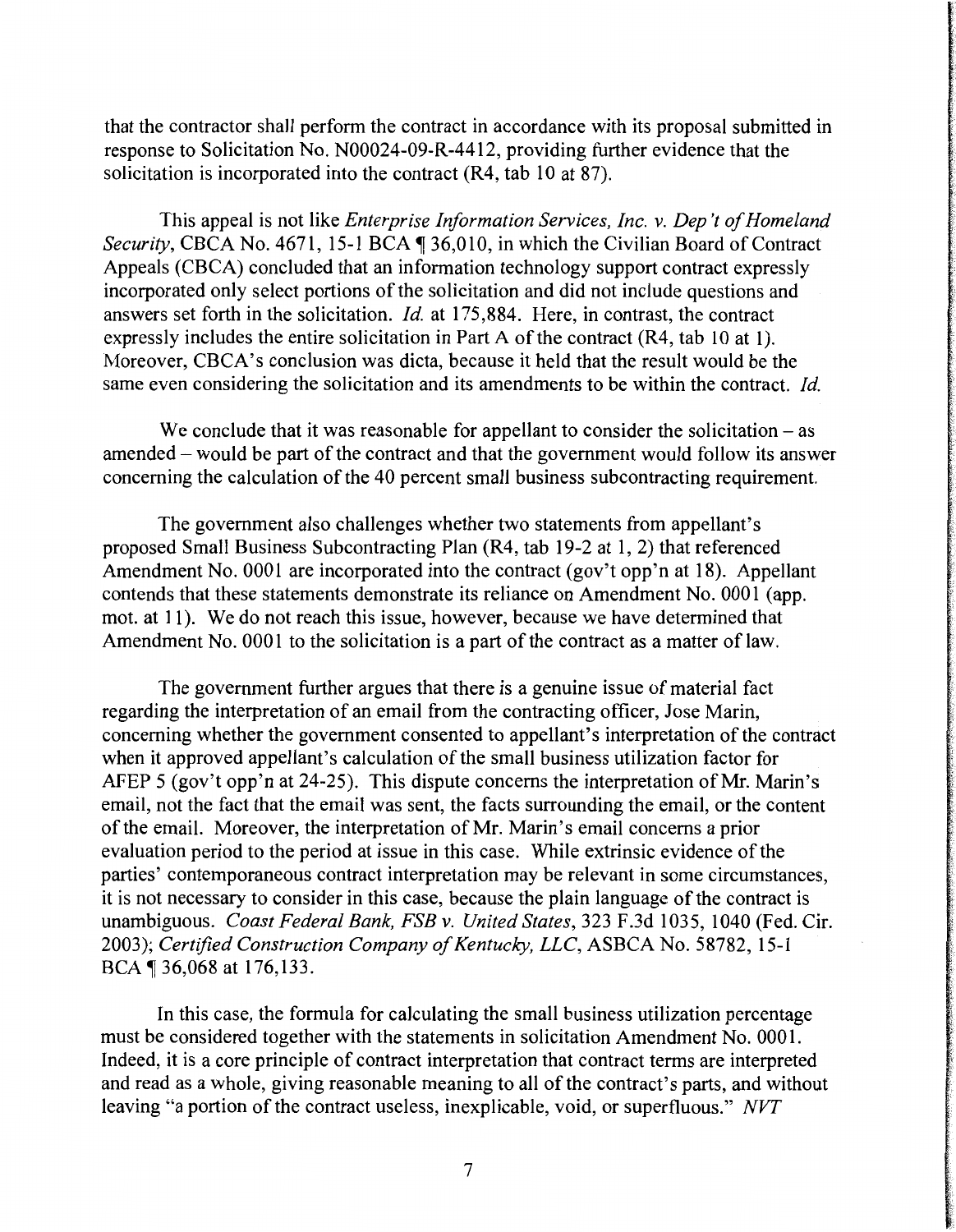that the contractor shall perform the contract in accordance with its proposal submitted in response to Solicitation No. N00024-09-R-4412, providing further evidence that the solicitation is incorporated into the contract (R4, tab 10 at 87).

This appeal is not like *Enterprise Information Services, Inc. v. Dep 't of Homeland Security, CBCA No.* 4671, 15-1 BCA <sup>1</sup> 36,010, in which the Civilian Board of Contract Appeals (CBCA) concluded that an information technology support contract expressly incorporated only select portions of the solicitation and did not include questions and answers set forth in the solicitation. *Id.* at 175,884. Here, in contrast, the contract expressly includes the entire solicitation in Part A of the contract (R4, tab 10 at 1). Moreover, CBCA's conclusion was dicta, because it held that the result would be the same even considering the solicitation and its amendments to be within the contract. *Id.* 

We conclude that it was reasonable for appellant to consider the solicitation  $-$  as amended – would be part of the contract and that the government would follow its answer concerning the calculation of the 40 percent small business subcontracting requirement.

The government also challenges whether two statements from appellant's proposed Small Business Subcontracting Plan (R4, tab 19-2 at 1, 2) that referenced Amendment No. 0001 are incorporated into the contract (gov't opp'n at 18). Appellant contends that these statements demonstrate its reliance on Amendment No. 0001 (app. mot. at 11). We do not reach this issue, however, because we have determined that Amendment No. 0001 to the solicitation is a part of the contract as a matter of law.

The government further argues that there is a genuine issue of material fact regarding the interpretation of an email from the contracting officer, Jose Marin, concerning whether the government consented to appellant's interpretation of the contract when it approved appellant's calculation of the small business utilization factor for AFEP 5 (gov't opp'n at 24-25). This dispute concerns the interpretation of Mr. Marin's email, not the fact that the email was sent, the facts surrounding the email, or the content of the email. Moreover, the interpretation of Mr. Marin's email concerns a prior evaluation period to the period at issue in this case. While extrinsic evidence of the parties' contemporaneous contract interpretation may be relevant in some circumstances, it is not necessary to consider in this case, because the plain language of the contract is unambiguous. *Coast Federal Bank, FSB v. United States,* 323 F.3d 1035, 1040 (Fed. Cir. 2003); *Certified Construction Company of Kentucky, LLC,* ASBCA No. 58782, 15-1 BCA ¶ 36,068 at 176,133.

In this case, the formula for calculating the small business utilization percentage must be considered together with the statements in solicitation Amendment No. 0001. Indeed, it is a core principle of contract interpretation that contract terms are interpreted and read as a whole, giving reasonable meaning to all of the contract's parts, and without leaving "a portion of the contract useless, inexplicable, void, or superfluous." *NVT*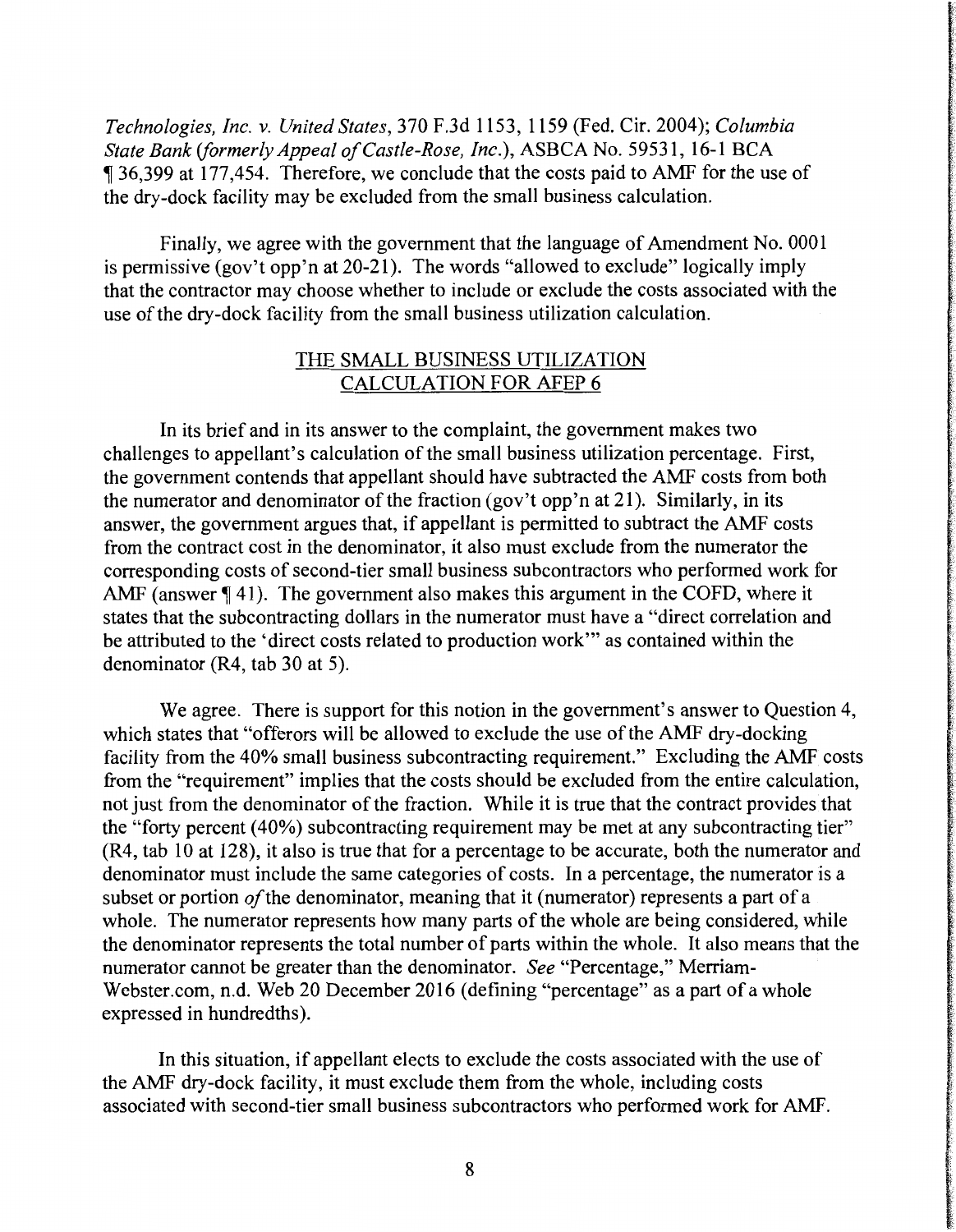*Technologies, Inc. v. United States,* 370 F.3d 1153, 1159 (Fed. Cir. 2004); *Columbia State Bank (formerly Appeal of Castle-Rose, Inc.),* ASBCA No. 59531, 16-1 BCA <sup>~</sup>36,399 at 177,454. Therefore, we conclude that the costs paid to AMF for the use of the dry-dock facility may be excluded from the small business calculation.

Finally, we agree with the government that the language of Amendment No. 0001 is permissive (gov't opp'n at  $20-21$ ). The words "allowed to exclude" logically imply that the contractor may choose whether to include or exclude the costs associated with the use of the dry-dock facility from the small business utilization calculation.

## THE SMALL BUSINESS UTILIZATION CALCULATION FOR AFEP 6

In its brief and in its answer to the complaint, the government makes two challenges to appellant's calculation of the small business utilization percentage. First, the government contends that appellant should have subtracted the AMF costs from both the numerator and denominator of the fraction (gov't opp'n at 21). Similarly, in its answer, the government argues that, if appellant is permitted to subtract the AMF costs from the contract cost in the denominator, it also must exclude from the numerator the corresponding costs of second-tier small business subcontractors who performed work for AMF (answer  $\P$  41). The government also makes this argument in the COFD, where it states that the subcontracting dollars in the numerator must have a "direct correlation and be attributed to the 'direct costs related to production work"' as contained within the denominator (R4, tab 30 at 5).

We agree. There is support for this notion in the government's answer to Question 4, which states that "offerors will be allowed to exclude the use of the AMF dry-docking facility from the 40% small business subcontracting requirement." Excluding the AMF costs from the "requirement" implies that the costs should be excluded from the entire calculation, not just from the denominator of the fraction. While it is true that the contract provides that the "forty percent (40%) subcontracting requirement may be met at any subcontracting tier" (R4, tab 10 at 128), it also is true that for a percentage to be accurate, both the numerator and denominator must include the same categories of costs. In a percentage, the numerator is a subset or portion *of* the denominator, meaning that it (numerator) represents a part of a whole. The numerator represents how many parts of the whole are being considered, while the denominator represents the total number of parts within the whole. It also means that the numerator cannot be greater than the denominator. *See* "Percentage," Merriam-Webster.com, n.d. Web 20 December 2016 (defining "percentage" as a part of a whole expressed in hundredths).

In this situation, if appellant elects to exclude the costs associated with the use of the AMF dry-dock facility, it must exclude them from the whole, including costs associated with second-tier small business subcontractors who performed work for AMF.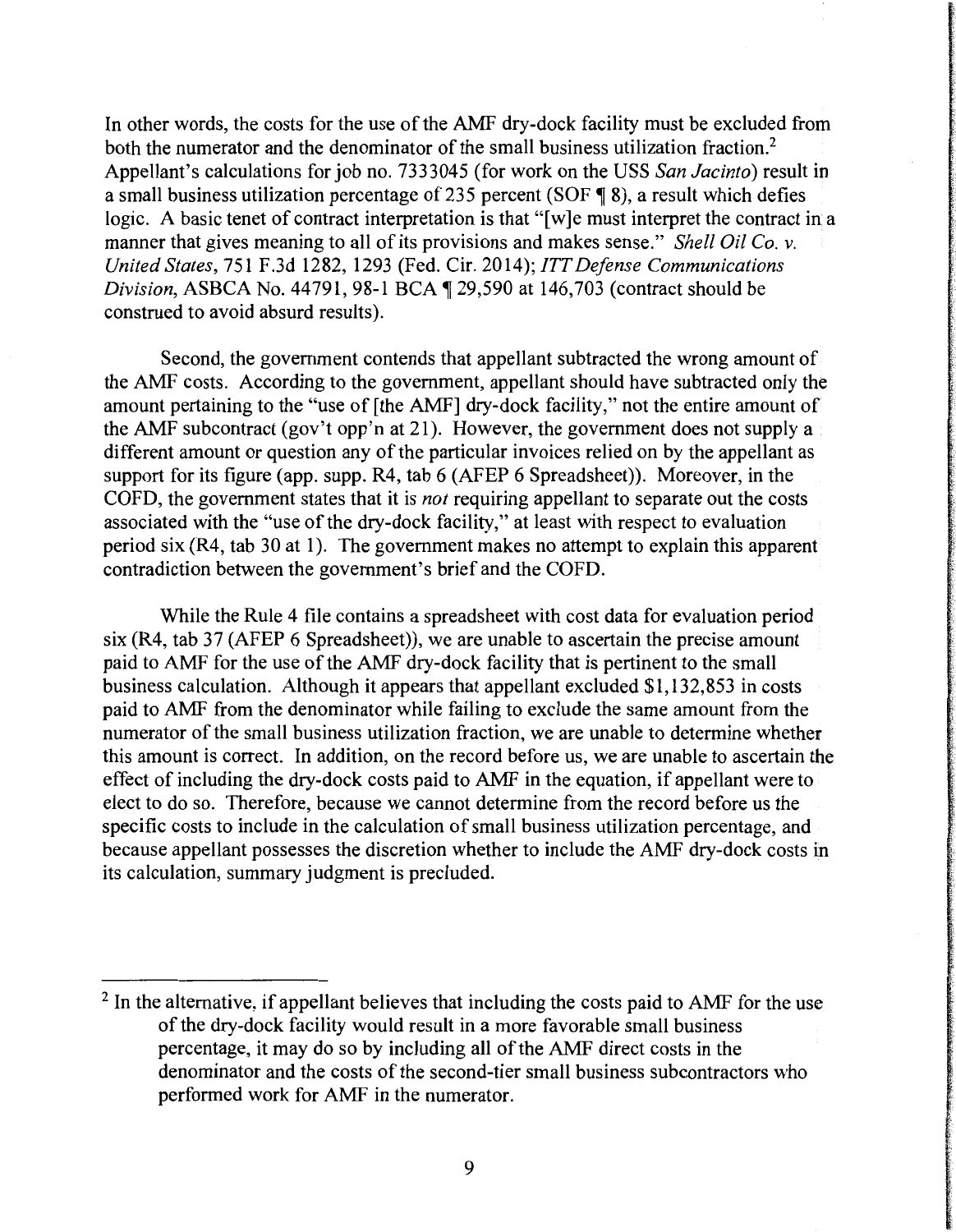In other words, the costs for the use of the AMF dry-dock facility must be excluded from both the numerator and the denominator of the small business utilization fraction.<sup>2</sup> Appellant's calculations for job no. 7333045 (for work on the USS *San Jacinto)* result in a small business utilization percentage of 235 percent (SOF  $\parallel$  8), a result which defies logic. A basic tenet of contract interpretation is that "[w]e must interpret the contract in a manner that gives meaning to all of its provisions and makes sense." *Shell Oil Co. v. United States,* 751F.3d1282, 1293 (Fed. Cir. 2014); *ITT Defense Communications Division, ASBCA No.* 44791, 98-1 BCA ¶ 29,590 at 146,703 (contract should be construed to avoid absurd results).

Second, the government contends that appellant subtracted the wrong amount of the AMF costs. According to the government, appellant should have subtracted only the amount pertaining to the "use of [the AMF] dry-dock facility," not the entire amount of the AMF subcontract (gov't opp'n at 21). However, the government does not supply a different amount or question any of the particular invoices relied on by the appellant as support for its figure (app. supp. R4, tab 6 (AFEP 6 Spreadsheet)). Moreover, in the COFD, the government states that it is *not* requiring appellant to separate out the costs associated with the "use of the dry-dock facility," at least with respect to evaluation period six (R4, tab 30 at 1). The government makes no attempt to explain this apparent contradiction between the government's brief and the COFD.

While the Rule 4 file contains a spreadsheet with cost data for evaluation period six (R4, tab 37 (AFEP 6 Spreadsheet)), we are unable to ascertain the precise amount paid to AMF for the use of the AMF dry-dock facility that is pertinent to the small business calculation. Although it appears that appellant excluded \$1, 132,853 in costs paid to AMF from the denominator while failing to exclude the same amount from the numerator of the small business utilization fraction, we are unable to determine whether this amount is correct. In addition, on the record before us, we are unable to ascertain the effect of including the dry-dock costs paid to AMF in the equation, if appellant were to elect to do so. Therefore, because we cannot determine from the record before us the specific costs to include in the calculation of small business utilization percentage, and because appellant possesses the discretion whether to include the AMF dry-dock costs in its calculation, summary judgment is precluded.

<sup>&</sup>lt;sup>2</sup> In the alternative, if appellant believes that including the costs paid to AMF for the use of the dry-dock facility would result in a more favorable small business percentage, it may do so by including all of the AMF direct costs in the denominator and the costs of the second-tier small business subcontractors who performed work for AMF in the numerator.